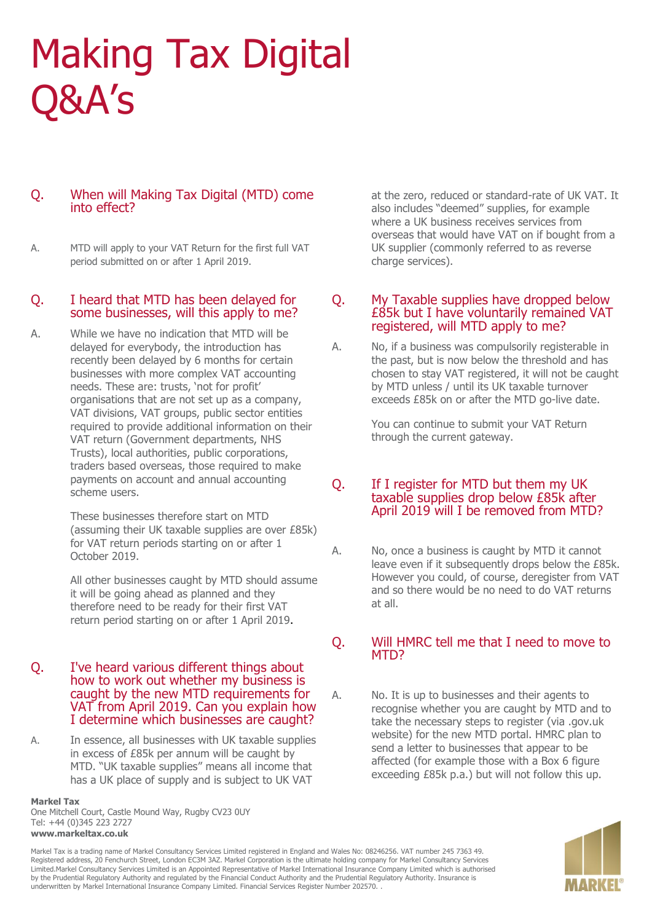# Making Tax Digital Q&A's

# Q. When will Making Tax Digital (MTD) come into effect?

A. MTD will apply to your VAT Return for the first full VAT period submitted on or after 1 April 2019.

## Q. I heard that MTD has been delayed for some businesses, will this apply to me?

A. While we have no indication that MTD will be delayed for everybody, the introduction has recently been delayed by 6 months for certain businesses with more complex VAT accounting needs. These are: trusts, 'not for profit' organisations that are not set up as a company, VAT divisions, VAT groups, public sector entities required to provide additional information on their VAT return (Government departments, NHS Trusts), local authorities, public corporations, traders based overseas, those required to make payments on account and annual accounting scheme users.

> These businesses therefore start on MTD (assuming their UK taxable supplies are over £85k) for VAT return periods starting on or after 1 October 2019.

> All other businesses caught by MTD should assume it will be going ahead as planned and they therefore need to be ready for their first VAT return period starting on or after 1 April 2019.

- Q. I've heard various different things about how to work out whether my business is caught by the new MTD requirements for VAT from April 2019. Can you explain how I determine which businesses are caught?
- A. In essence, all businesses with UK taxable supplies in excess of £85k per annum will be caught by MTD. "UK taxable supplies" means all income that has a UK place of supply and is subject to UK VAT

**Markel Tax**

One Mitchell Court, Castle Mound Way, Rugby CV23 0UY Tel: +44 (0)345 223 2727 **www.markeltax.co.uk**

at the zero, reduced or standard-rate of UK VAT. It also includes "deemed" supplies, for example where a UK business receives services from overseas that would have VAT on if bought from a UK supplier (commonly referred to as reverse charge services).

# Q. My Taxable supplies have dropped below £85k but I have voluntarily remained VAT registered, will MTD apply to me?

A. No, if a business was compulsorily registerable in the past, but is now below the threshold and has chosen to stay VAT registered, it will not be caught by MTD unless / until its UK taxable turnover exceeds £85k on or after the MTD go-live date.

> You can continue to submit your VAT Return through the current gateway.

Q. If I register for MTD but them my UK taxable supplies drop below £85k after April 2019 will I be removed from MTD?

A. No, once a business is caught by MTD it cannot leave even if it subsequently drops below the £85k. However you could, of course, deregister from VAT and so there would be no need to do VAT returns at all.

# Q. Will HMRC tell me that I need to move to MT<sub>D</sub>?

A. No. It is up to businesses and their agents to recognise whether you are caught by MTD and to take the necessary steps to register (via .gov.uk website) for the new MTD portal. HMRC plan to send a letter to businesses that appear to be affected (for example those with a Box 6 figure exceeding £85k p.a.) but will not follow this up.



Markel Tax is a trading name of Markel Consultancy Services Limited registered in England and Wales No: 08246256. VAT number 245 7363 49. Registered address, 20 Fenchurch Street, London EC3M 3AZ. Markel Corporation is the ultimate holding company for Markel Consultancy Services Limited.Markel Consultancy Services Limited is an Appointed Representative of Markel International Insurance Company Limited which is authorised by the Prudential Regulatory Authority and regulated by the Financial Conduct Authority and the Prudential Regulatory Authority. Insurance is underwritten by Markel International Insurance Company Limited. Financial Services Register Number 202570. .